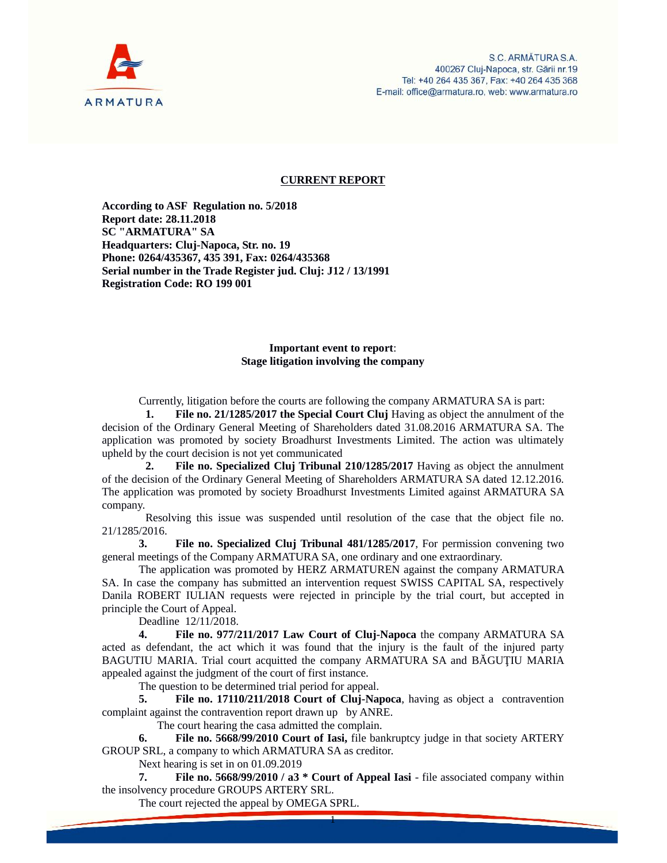

## **CURRENT REPORT**

**According to ASF Regulation no. 5/2018 Report date: 28.11.2018 SC "ARMATURA" SA Headquarters: Cluj-Napoca, Str. no. 19 Phone: 0264/435367, 435 391, Fax: 0264/435368 Serial number in the Trade Register jud. Cluj: J12 / 13/1991 Registration Code: RO 199 001**

## **Important event to report**: **Stage litigation involving the company**

Currently, litigation before the courts are following the company ARMATURA SA is part:

**1. File no. 21/1285/2017 the Special Court Cluj** Having as object the annulment of the decision of the Ordinary General Meeting of Shareholders dated 31.08.2016 ARMATURA SA. The application was promoted by society Broadhurst Investments Limited. The action was ultimately upheld by the court decision is not yet communicated

**2. File no. Specialized Cluj Tribunal 210/1285/2017** Having as object the annulment of the decision of the Ordinary General Meeting of Shareholders ARMATURA SA dated 12.12.2016. The application was promoted by society Broadhurst Investments Limited against ARMATURA SA company.

Resolving this issue was suspended until resolution of the case that the object file no. 21/1285/2016.

**3. File no. Specialized Cluj Tribunal 481/1285/2017**, For permission convening two general meetings of the Company ARMATURA SA, one ordinary and one extraordinary.

The application was promoted by HERZ ARMATUREN against the company ARMATURA SA. In case the company has submitted an intervention request SWISS CAPITAL SA, respectively Danila ROBERT IULIAN requests were rejected in principle by the trial court, but accepted in principle the Court of Appeal.

Deadline 12/11/2018.

**4. File no. 977/211/2017 Law Court of Cluj-Napoca** the company ARMATURA SA acted as defendant, the act which it was found that the injury is the fault of the injured party BAGUTIU MARIA. Trial court acquitted the company ARMATURA SA and B GU IU MARIA appealed against the judgment of the court of first instance.

The question to be determined trial period for appeal.

**5. File no. 17110/211/2018 Court of Cluj-Napoca**, having as object a contravention complaint against the contravention report drawn up by ANRE.

The court hearing the casa admitted the complain.

**6. File no. 5668/99/2010 Court of Iasi,** file bankruptcy judge in that society ARTERY GROUP SRL, a company to which ARMATURA SA as creditor.

Next hearing is set in on 01.09.2019

**7. File no. 5668/99/2010 / a3 \* Court of Appeal Iasi** - file associated company within the insolvency procedure GROUPS ARTERY SRL.

1

The court rejected the appeal by OMEGA SPRL.